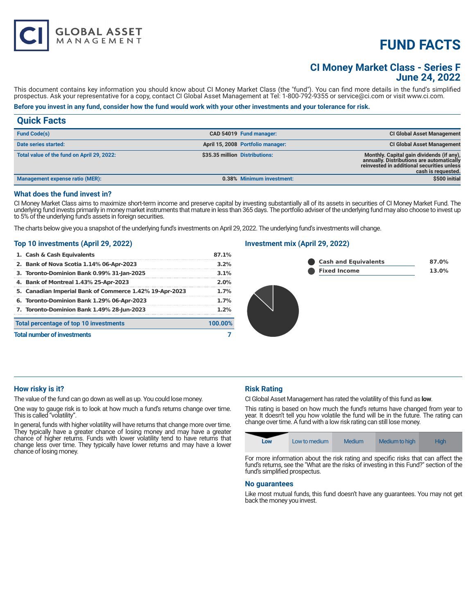# **FUND FACTS**

## **CI Money Market Class - Series F June 24, 2022**

This document contains key information you should know about CI Money Market Class (the "fund"). You can find more details in the fund's simplified prospectus. Ask your representative for a copy, contact CI Global Asset Management at Tel: 1-800-792-9355 or service@ci.com or visit www.ci.com.

## **Before you invest in any fund, consider how the fund would work with your other investments and your tolerance for risk.**

| <b>Quick Facts</b> |  |  |
|--------------------|--|--|
|                    |  |  |

| <b>Fund Code(s)</b>                        |                                | CAD 54019 Fund manager:           | <b>CI Global Asset Management</b>                                                                                                                          |
|--------------------------------------------|--------------------------------|-----------------------------------|------------------------------------------------------------------------------------------------------------------------------------------------------------|
| Date series started:                       |                                | April 15, 2008 Portfolio manager: | <b>CI Global Asset Management</b>                                                                                                                          |
| Total value of the fund on April 29, 2022: | \$35.35 million Distributions: |                                   | Monthly. Capital gain dividends (if any),<br>annually. Distributions are automatically<br>reinvested in additional securities unless<br>cash is requested. |
| Management expense ratio (MER):            |                                | 0.38% Minimum investment:         | \$500 initial                                                                                                                                              |
|                                            |                                |                                   |                                                                                                                                                            |

#### **What does the fund invest in?**

CI Money Market Class aims to maximize short-term income and preserve capital by investing substantially all of its assets in securities of CI Money Market Fund. The underlying fund invests primarily in money market instruments that mature in less than 365 days. The portfolio adviser of the underlying fund may also choose to invest up to 5% of the underlying fund's assets in foreign securities.

The charts below give you a snapshot of the underlying fund's investments on April 29, 2022. The underlying fund's investments will change.

#### **Top 10 investments (April 29, 2022)**

**GLOBAL ASSET**<br>MANAGEMENT

| 1. Cash & Cash Equivalents                              | 87.1%   |
|---------------------------------------------------------|---------|
| 2. Bank of Nova Scotia 1.14% 06-Apr-2023                | 3.2%    |
| 3. Toronto-Dominion Bank 0.99% 31-Jan-2025              | 3.1%    |
| 4. Bank of Montreal 1.43% 25-Apr-2023                   | 2.0%    |
| 5. Canadian Imperial Bank of Commerce 1.42% 19-Apr-2023 | 1.7%    |
| 6. Toronto-Dominion Bank 1.29% 06-Apr-2023              | 1.7%    |
| 7. Toronto-Dominion Bank 1.49% 28-Jun-2023              | 1.2%    |
| Total percentage of top 10 investments                  | 100.00% |
| <b>Total number of investments</b>                      |         |

## **Investment mix (April 29, 2022)**



#### **How risky is it?**

The value of the fund can go down as well as up. You could lose money.

One way to gauge risk is to look at how much a fund's returns change over time. This is called "volatility".

In general, funds with higher volatility will have returns that change more over time. They typically have a greater chance of losing money and may have a greater chance of higher returns. Funds with lower volatility tend to have returns that change less over time. They typically have lower returns and may have a lower chance of losing money.

## **Risk Rating**

CI Global Asset Management has rated the volatility of this fund as **low**.

This rating is based on how much the fund's returns have changed from year to year. It doesn't tell you how volatile the fund will be in the future. The rating can change over time. A fund with a low risk rating can still lose money.

|  | Low | Low to medium | Medium | Medium to high | <b>High</b> |
|--|-----|---------------|--------|----------------|-------------|
|--|-----|---------------|--------|----------------|-------------|

For more information about the risk rating and specific risks that can affect the fund's returns, see the "What are the risks of investing in this Fund?" section of the fund's simplified prospectus.

#### **No guarantees**

Like most mutual funds, this fund doesn't have any guarantees. You may not get back the money you invest.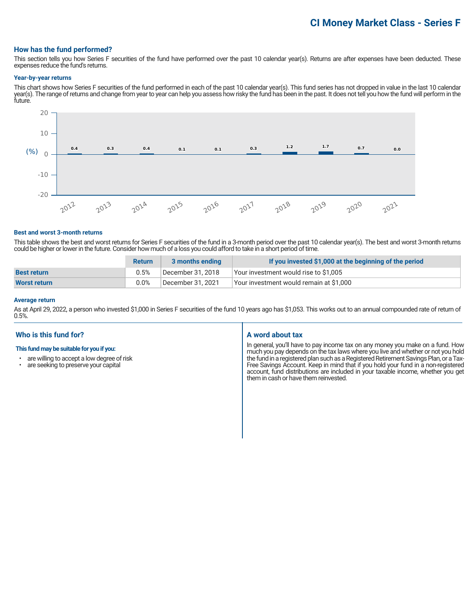## **How has the fund performed?**

This section tells you how Series F securities of the fund have performed over the past 10 calendar year(s). Returns are after expenses have been deducted. These expenses reduce the fund's returns.

#### **Year-by-year returns**

This chart shows how Series F securities of the fund performed in each of the past 10 calendar year(s). This fund series has not dropped in value in the last 10 calendar year(s). The range of returns and change from year to year can help you assess how risky the fund has been in the past. It does not tell you how the fund will perform in the future.



#### **Best and worst 3-month returns**

This table shows the best and worst returns for Series F securities of the fund in a 3-month period over the past 10 calendar year(s). The best and worst 3-month returns could be higher or lower in the future. Consider how much of a loss you could afford to take in a short period of time.

|                     | <b>Return</b> | 3 months ending   | If you invested \$1,000 at the beginning of the period |
|---------------------|---------------|-------------------|--------------------------------------------------------|
| <b>Best return</b>  | 0.5%          | December 31, 2018 | Your investment would rise to \$1,005                  |
| <b>Worst return</b> | $0.0\%$       | December 31, 2021 | Your investment would remain at \$1,000                |

#### **Average return**

As at April 29, 2022, a person who invested \$1,000 in Series F securities of the fund 10 years ago has \$1,053. This works out to an annual compounded rate of return of 0.5%.

## **Who is this fund for?**

#### **This fund may be suitable for you if you:**

- are willing to accept a low degree of risk<br>• are seeking to preserve your capital
- are seeking to preserve your capital

#### **A word about tax**

In general, you'll have to pay income tax on any money you make on a fund. How much you pay depends on the tax laws where you live and whether or not you hold the fund in a registered plan such as a Registered Retirement Savings Plan, or a Tax-Free Savings Account. Keep in mind that if you hold your fund in a non-registered account, fund distributions are included in your taxable income, whether you get them in cash or have them reinvested.